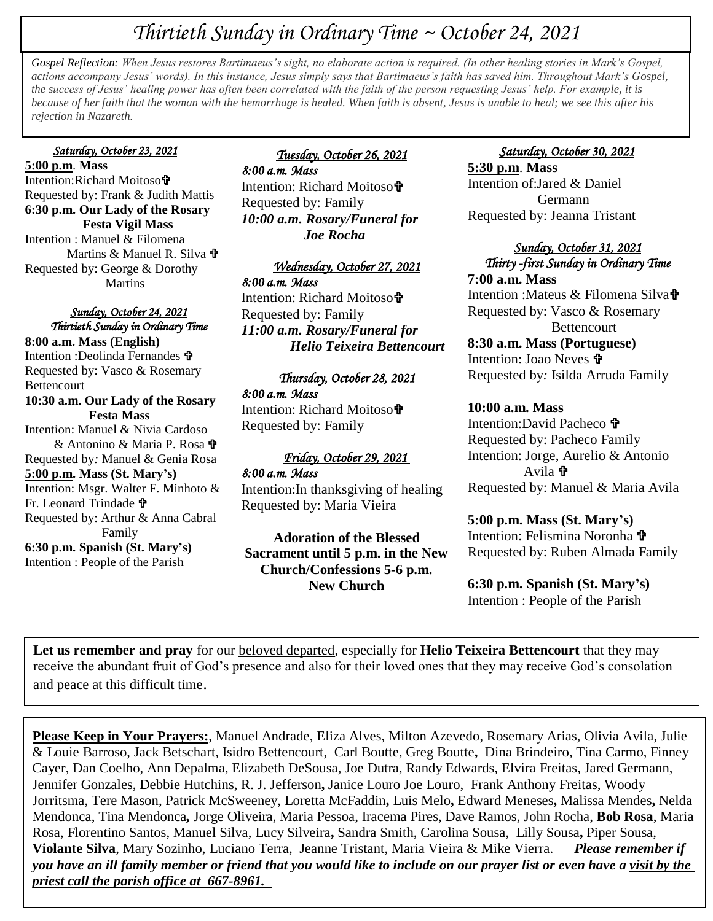# *Thirtieth Sunday in Ordinary Time ~ October 24, 2021*

**+**  *Gospel Reflection: When Jesus restores Bartimaeus's sight, no elaborate action is required. (In other healing stories in Mark's Gospel, rejection in Nazareth. actions accompany Jesus' words). In this instance, Jesus simply says that Bartimaeus's faith has saved him. Throughout Mark's Gospel, the success of Jesus' healing power has often been correlated with the faith of the person requesting Jesus' help. For example, it is because of her faith that the woman with the hemorrhage is healed. When faith is absent, Jesus is unable to heal; we see this after his* 

### *Saturday, October 23, 2021*

**5:00 p.m**. **Mass** Intention: Richard Moitoso**t** Requested by: Frank & Judith Mattis **6:30 p.m. Our Lady of the Rosary Festa Vigil Mass** Intention : Manuel & Filomena Martins & Manuel R. Silva **†** Requested by: George & Dorothy Martins

#### *Sunday, October 24, 2021 Thirtieth Sunday in Ordinary Time*

**8:00 a.m. Mass (English)** Intention :Deolinda Fernandes Requested by: Vasco & Rosemary Bettencourt **10:30 a.m. Our Lady of the Rosary Festa Mass** Intention: Manuel & Nivia Cardoso & Antonino & Maria P. Rosa Requested by*:* Manuel & Genia Rosa **5:00 p.m. Mass (St. Mary's)** Intention: Msgr. Walter F. Minhoto & Fr. Leonard Trindade Requested by: Arthur & Anna Cabral Family **6:30 p.m. Spanish (St. Mary's)** Intention : People of the Parish

# *Tuesday, October 26, 2021*

*8:00 a.m. Mass*  Intention: Richard Moitoso Requested by: Family *10:00 a.m. Rosary/Funeral for Joe Rocha* 

# *Wednesday, October 27, 2021*

*8:00 a.m. Mass*  Intention: Richard Moitoso Requested by: Family *11:00 a.m. Rosary/Funeral for Helio Teixeira Bettencourt*

#### *Thursday, October 28, 2021*

*8:00 a.m. Mass*  Intention: Richard Moitoso Requested by: Family

## *Friday, October 29, 2021*

*8:00 a.m. Mass* 

Intention:In thanksgiving of healing Requested by: Maria Vieira

# **Adoration of the Blessed Sacrament until 5 p.m. in the New Church/Confessions 5-6 p.m. New Church**

# *Saturday, October 30, 2021*  **5:30 p.m**. **Mass**

Intention of:Jared & Daniel Germann Requested by: Jeanna Tristant

#### *Sunday, October 31, 2021 Thirty -first Sunday in Ordinary Time*  **7:00 a.m. Mass**

Intention :Mateus & Filomena Silva<sup>t</sup> Requested by: Vasco & Rosemary Bettencourt **8:30 a.m. Mass (Portuguese)** Intention: Joao Neves **t** Requested by*:* Isilda Arruda Family

#### **10:00 a.m. Mass**

Intention:David Pacheco Requested by: Pacheco Family Intention: Jorge, Aurelio & Antonio Avila **t** Requested by: Manuel & Maria Avila

**5:00 p.m. Mass (St. Mary's)** Intention: Felismina Noronha Requested by: Ruben Almada Family

**6:30 p.m. Spanish (St. Mary's)** Intention : People of the Parish

**Let us remember and pray** for our beloved departed, especially for **Helio Teixeira Bettencourt** that they may receive the abundant fruit of God's presence and also for their loved ones that they may receive God's consolation and peace at this difficult time.

**Please Keep in Your Prayers:**, Manuel Andrade, Eliza Alves, Milton Azevedo, Rosemary Arias, Olivia Avila, Julie & Louie Barroso, Jack Betschart, Isidro Bettencourt, Carl Boutte, Greg Boutte**,** Dina Brindeiro, Tina Carmo, Finney Cayer, Dan Coelho, Ann Depalma, Elizabeth DeSousa, Joe Dutra, Randy Edwards, Elvira Freitas, Jared Germann, Jennifer Gonzales, Debbie Hutchins, R. J. Jefferson**,** Janice Louro Joe Louro, Frank Anthony Freitas, Woody Jorritsma, Tere Mason, Patrick McSweeney, Loretta McFaddin**,** Luis Melo**,** Edward Meneses**,** Malissa Mendes**,** Nelda Mendonca, Tina Mendonca*,* Jorge Oliveira, Maria Pessoa, Iracema Pires, Dave Ramos, John Rocha, **Bob Rosa**, Maria Rosa, Florentino Santos, Manuel Silva, Lucy Silveira**,** Sandra Smith, Carolina Sousa, Lilly Sousa**,** Piper Sousa, **Violante Silva**, Mary Sozinho, Luciano Terra, Jeanne Tristant, Maria Vieira & Mike Vierra. *Please remember if you have an ill family member or friend that you would like to include on our prayer list or even have a visit by the priest call the parish office at 667-8961.*